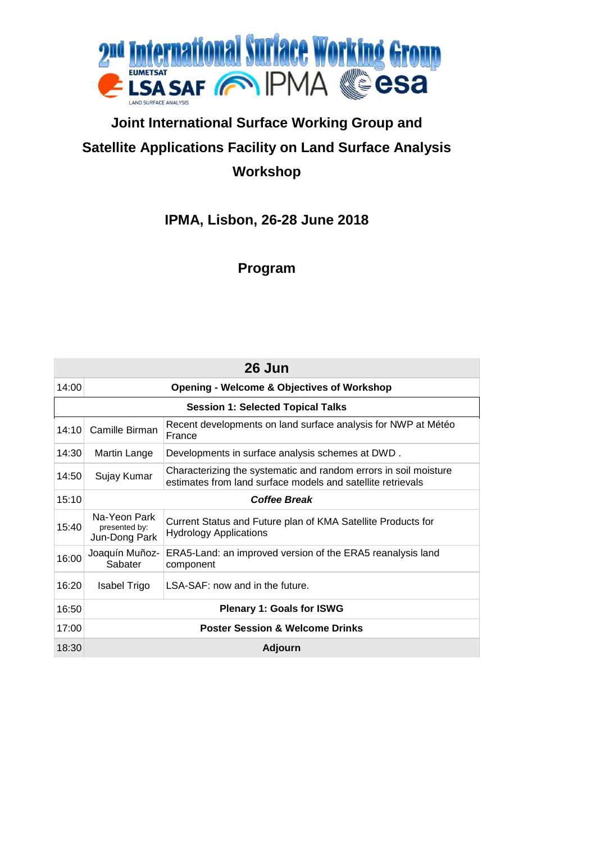

## **Joint International Surface Working Group and Satellite Applications Facility on Land Surface Analysis Workshop**

## **IPMA, Lisbon, 26-28 June 2018**

## **Program**

| 26 Jun                                   |                                                       |                                                                                                                                 |  |  |
|------------------------------------------|-------------------------------------------------------|---------------------------------------------------------------------------------------------------------------------------------|--|--|
| 14:00                                    | <b>Opening - Welcome &amp; Objectives of Workshop</b> |                                                                                                                                 |  |  |
| <b>Session 1: Selected Topical Talks</b> |                                                       |                                                                                                                                 |  |  |
| 14:10                                    | Camille Birman                                        | Recent developments on land surface analysis for NWP at Météo<br>France                                                         |  |  |
| 14:30                                    | Martin Lange                                          | Developments in surface analysis schemes at DWD.                                                                                |  |  |
| 14:50                                    | Sujay Kumar                                           | Characterizing the systematic and random errors in soil moisture<br>estimates from land surface models and satellite retrievals |  |  |
| 15:10                                    | <b>Coffee Break</b>                                   |                                                                                                                                 |  |  |
| 15:40                                    | Na-Yeon Park<br>presented by:<br>Jun-Dong Park        | Current Status and Future plan of KMA Satellite Products for<br><b>Hydrology Applications</b>                                   |  |  |
| 16:00                                    | Joaquín Muñoz-<br>Sabater                             | ERA5-Land: an improved version of the ERA5 reanalysis land<br>component                                                         |  |  |
| 16:20                                    | Isabel Trigo                                          | LSA-SAF: now and in the future.                                                                                                 |  |  |
| 16:50                                    | <b>Plenary 1: Goals for ISWG</b>                      |                                                                                                                                 |  |  |
| 17:00                                    | <b>Poster Session &amp; Welcome Drinks</b>            |                                                                                                                                 |  |  |
| 18:30                                    | <b>Adjourn</b>                                        |                                                                                                                                 |  |  |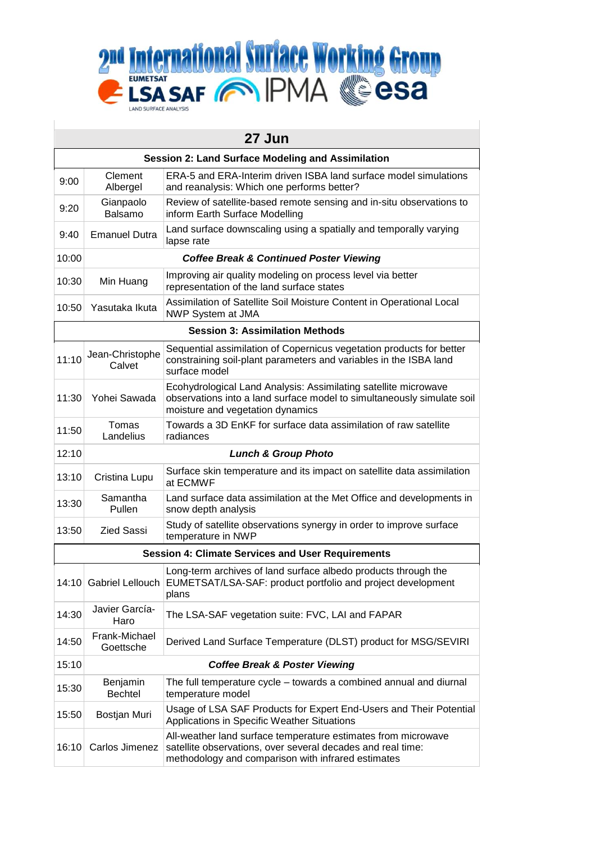

| 27 Jun                                                   |                                                    |                                                                                                                                                                                    |  |  |  |
|----------------------------------------------------------|----------------------------------------------------|------------------------------------------------------------------------------------------------------------------------------------------------------------------------------------|--|--|--|
| <b>Session 2: Land Surface Modeling and Assimilation</b> |                                                    |                                                                                                                                                                                    |  |  |  |
| 9:00                                                     | Clement<br>Albergel                                | ERA-5 and ERA-Interim driven ISBA land surface model simulations<br>and reanalysis: Which one performs better?                                                                     |  |  |  |
| 9:20                                                     | Gianpaolo<br>Balsamo                               | Review of satellite-based remote sensing and in-situ observations to<br>inform Earth Surface Modelling                                                                             |  |  |  |
| 9:40                                                     | <b>Emanuel Dutra</b>                               | Land surface downscaling using a spatially and temporally varying<br>lapse rate                                                                                                    |  |  |  |
| 10:00                                                    | <b>Coffee Break &amp; Continued Poster Viewing</b> |                                                                                                                                                                                    |  |  |  |
| 10:30                                                    | Min Huang                                          | Improving air quality modeling on process level via better<br>representation of the land surface states                                                                            |  |  |  |
| 10:50                                                    | Yasutaka Ikuta                                     | Assimilation of Satellite Soil Moisture Content in Operational Local<br>NWP System at JMA                                                                                          |  |  |  |
|                                                          |                                                    | <b>Session 3: Assimilation Methods</b>                                                                                                                                             |  |  |  |
| 11:10                                                    | Jean-Christophe<br>Calvet                          | Sequential assimilation of Copernicus vegetation products for better<br>constraining soil-plant parameters and variables in the ISBA land<br>surface model                         |  |  |  |
| 11:30                                                    | Yohei Sawada                                       | Ecohydrological Land Analysis: Assimilating satellite microwave<br>observations into a land surface model to simultaneously simulate soil<br>moisture and vegetation dynamics      |  |  |  |
| 11:50                                                    | Tomas<br>Landelius                                 | Towards a 3D EnKF for surface data assimilation of raw satellite<br>radiances                                                                                                      |  |  |  |
| 12:10                                                    |                                                    | <b>Lunch &amp; Group Photo</b>                                                                                                                                                     |  |  |  |
| 13:10                                                    | Cristina Lupu                                      | Surface skin temperature and its impact on satellite data assimilation<br>at ECMWF                                                                                                 |  |  |  |
| 13:30                                                    | Samantha<br>Pullen                                 | Land surface data assimilation at the Met Office and developments in<br>snow depth analysis                                                                                        |  |  |  |
| 13:50                                                    | <b>Zied Sassi</b>                                  | Study of satellite observations synergy in order to improve surface<br>temperature in NWP                                                                                          |  |  |  |
| <b>Session 4: Climate Services and User Requirements</b> |                                                    |                                                                                                                                                                                    |  |  |  |
| 14:10                                                    | <b>Gabriel Lellouch</b>                            | Long-term archives of land surface albedo products through the<br>EUMETSAT/LSA-SAF: product portfolio and project development<br>plans                                             |  |  |  |
| 14:30                                                    | Javier García-<br>Haro                             | The LSA-SAF vegetation suite: FVC, LAI and FAPAR                                                                                                                                   |  |  |  |
| 14:50                                                    | Frank-Michael<br>Goettsche                         | Derived Land Surface Temperature (DLST) product for MSG/SEVIRI                                                                                                                     |  |  |  |
| 15:10                                                    |                                                    | <b>Coffee Break &amp; Poster Viewing</b>                                                                                                                                           |  |  |  |
| 15:30                                                    | Benjamin<br><b>Bechtel</b>                         | The full temperature cycle - towards a combined annual and diurnal<br>temperature model                                                                                            |  |  |  |
| 15:50                                                    | Bostjan Muri                                       | Usage of LSA SAF Products for Expert End-Users and Their Potential<br>Applications in Specific Weather Situations                                                                  |  |  |  |
| 16:10                                                    | Carlos Jimenez                                     | All-weather land surface temperature estimates from microwave<br>satellite observations, over several decades and real time:<br>methodology and comparison with infrared estimates |  |  |  |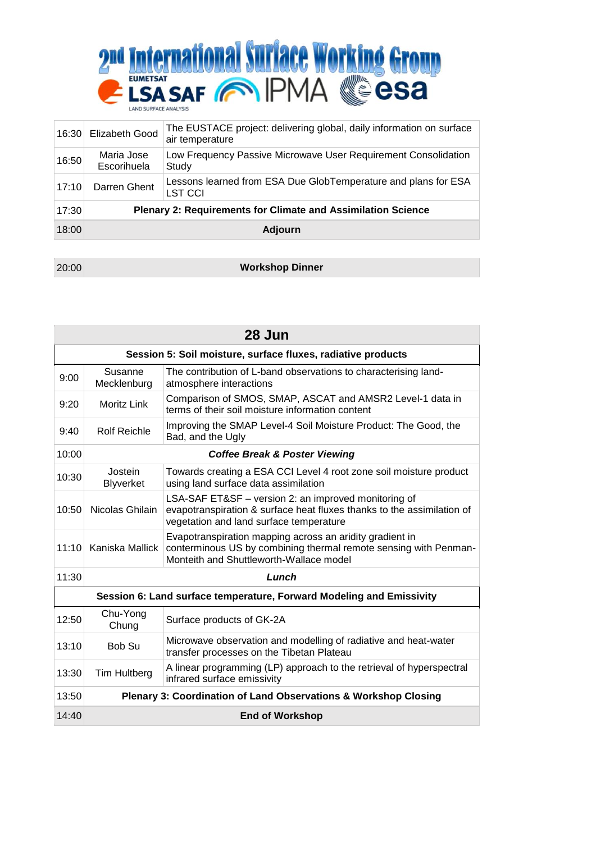

| 16:30 | Elizabeth Good                                                      | The EUSTACE project: delivering global, daily information on surface<br>air temperature |
|-------|---------------------------------------------------------------------|-----------------------------------------------------------------------------------------|
| 16:50 | Maria Jose<br>Escorihuela                                           | Low Frequency Passive Microwave User Requirement Consolidation<br>Study                 |
| 17:10 | Darren Ghent                                                        | Lessons learned from ESA Due GlobTemperature and plans for ESA<br><b>LST CCI</b>        |
| 17:30 | <b>Plenary 2: Requirements for Climate and Assimilation Science</b> |                                                                                         |
| 18:00 | <b>Adjourn</b>                                                      |                                                                                         |

20:00 **Workshop Dinner**

| 28 Jun                                                               |                                                                            |                                                                                                                                                                           |  |  |
|----------------------------------------------------------------------|----------------------------------------------------------------------------|---------------------------------------------------------------------------------------------------------------------------------------------------------------------------|--|--|
| Session 5: Soil moisture, surface fluxes, radiative products         |                                                                            |                                                                                                                                                                           |  |  |
| 9:00                                                                 | Susanne<br>Mecklenburg                                                     | The contribution of L-band observations to characterising land-<br>atmosphere interactions                                                                                |  |  |
| 9:20                                                                 | Moritz Link                                                                | Comparison of SMOS, SMAP, ASCAT and AMSR2 Level-1 data in<br>terms of their soil moisture information content                                                             |  |  |
| 9:40                                                                 | <b>Rolf Reichle</b>                                                        | Improving the SMAP Level-4 Soil Moisture Product: The Good, the<br>Bad, and the Ugly                                                                                      |  |  |
| 10:00                                                                | <b>Coffee Break &amp; Poster Viewing</b>                                   |                                                                                                                                                                           |  |  |
| 10:30                                                                | Jostein<br>Blyverket                                                       | Towards creating a ESA CCI Level 4 root zone soil moisture product<br>using land surface data assimilation                                                                |  |  |
| 10:50                                                                | Nicolas Ghilain                                                            | LSA-SAF ET&SF – version 2: an improved monitoring of<br>evapotranspiration & surface heat fluxes thanks to the assimilation of<br>vegetation and land surface temperature |  |  |
| 11:10                                                                | Kaniska Mallick                                                            | Evapotranspiration mapping across an aridity gradient in<br>conterminous US by combining thermal remote sensing with Penman-<br>Monteith and Shuttleworth-Wallace model   |  |  |
| 11:30                                                                | Lunch                                                                      |                                                                                                                                                                           |  |  |
| Session 6: Land surface temperature, Forward Modeling and Emissivity |                                                                            |                                                                                                                                                                           |  |  |
| 12:50                                                                | Chu-Yong<br>Chung                                                          | Surface products of GK-2A                                                                                                                                                 |  |  |
| 13:10                                                                | Bob Su                                                                     | Microwave observation and modelling of radiative and heat-water<br>transfer processes on the Tibetan Plateau                                                              |  |  |
| 13:30                                                                | Tim Hultberg                                                               | A linear programming (LP) approach to the retrieval of hyperspectral<br>infrared surface emissivity                                                                       |  |  |
| 13:50                                                                | <b>Plenary 3: Coordination of Land Observations &amp; Workshop Closing</b> |                                                                                                                                                                           |  |  |
| 14:40                                                                | <b>End of Workshop</b>                                                     |                                                                                                                                                                           |  |  |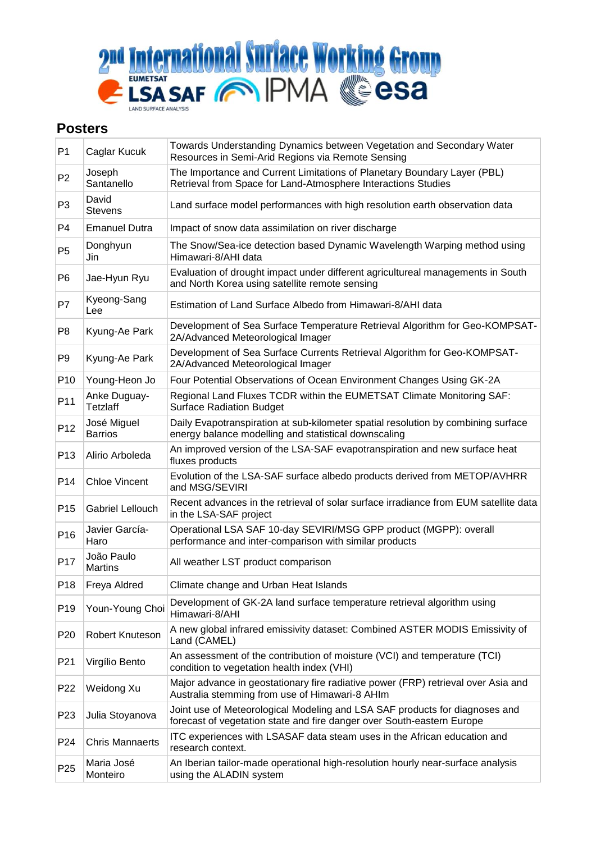

## **Posters**

| P <sub>1</sub>  | Caglar Kucuk                    | Towards Understanding Dynamics between Vegetation and Secondary Water<br>Resources in Semi-Arid Regions via Remote Sensing                            |
|-----------------|---------------------------------|-------------------------------------------------------------------------------------------------------------------------------------------------------|
| P <sub>2</sub>  | Joseph<br>Santanello            | The Importance and Current Limitations of Planetary Boundary Layer (PBL)<br>Retrieval from Space for Land-Atmosphere Interactions Studies             |
| P <sub>3</sub>  | David<br><b>Stevens</b>         | Land surface model performances with high resolution earth observation data                                                                           |
| P <sub>4</sub>  | <b>Emanuel Dutra</b>            | Impact of snow data assimilation on river discharge                                                                                                   |
| P <sub>5</sub>  | Donghyun<br>Jin                 | The Snow/Sea-ice detection based Dynamic Wavelength Warping method using<br>Himawari-8/AHI data                                                       |
| P <sub>6</sub>  | Jae-Hyun Ryu                    | Evaluation of drought impact under different agricultureal managements in South<br>and North Korea using satellite remote sensing                     |
| P7              | Kyeong-Sang<br>Lee              | Estimation of Land Surface Albedo from Himawari-8/AHI data                                                                                            |
| P <sub>8</sub>  | Kyung-Ae Park                   | Development of Sea Surface Temperature Retrieval Algorithm for Geo-KOMPSAT-<br>2A/Advanced Meteorological Imager                                      |
| P <sub>9</sub>  | Kyung-Ae Park                   | Development of Sea Surface Currents Retrieval Algorithm for Geo-KOMPSAT-<br>2A/Advanced Meteorological Imager                                         |
| P <sub>10</sub> | Young-Heon Jo                   | Four Potential Observations of Ocean Environment Changes Using GK-2A                                                                                  |
| P11             | Anke Duguay-<br><b>Tetzlaff</b> | Regional Land Fluxes TCDR within the EUMETSAT Climate Monitoring SAF:<br><b>Surface Radiation Budget</b>                                              |
| P <sub>12</sub> | José Miguel<br><b>Barrios</b>   | Daily Evapotranspiration at sub-kilometer spatial resolution by combining surface<br>energy balance modelling and statistical downscaling             |
| P <sub>13</sub> | Alirio Arboleda                 | An improved version of the LSA-SAF evapotranspiration and new surface heat<br>fluxes products                                                         |
| P <sub>14</sub> | <b>Chloe Vincent</b>            | Evolution of the LSA-SAF surface albedo products derived from METOP/AVHRR<br>and MSG/SEVIRI                                                           |
| P <sub>15</sub> | Gabriel Lellouch                | Recent advances in the retrieval of solar surface irradiance from EUM satellite data<br>in the LSA-SAF project                                        |
| P <sub>16</sub> | Javier García-<br>Haro          | Operational LSA SAF 10-day SEVIRI/MSG GPP product (MGPP): overall<br>performance and inter-comparison with similar products                           |
| P <sub>17</sub> | João Paulo<br><b>Martins</b>    | All weather LST product comparison                                                                                                                    |
| P <sub>18</sub> | Freya Aldred                    | Climate change and Urban Heat Islands                                                                                                                 |
| P <sub>19</sub> | Youn-Young Choi                 | Development of GK-2A land surface temperature retrieval algorithm using<br>Himawari-8/AHI                                                             |
| P <sub>20</sub> | Robert Knuteson                 | A new global infrared emissivity dataset: Combined ASTER MODIS Emissivity of<br>Land (CAMEL)                                                          |
| P <sub>21</sub> | Virgílio Bento                  | An assessment of the contribution of moisture (VCI) and temperature (TCI)<br>condition to vegetation health index (VHI)                               |
| P <sub>22</sub> | Weidong Xu                      | Major advance in geostationary fire radiative power (FRP) retrieval over Asia and<br>Australia stemming from use of Himawari-8 AHIm                   |
| P <sub>23</sub> | Julia Stoyanova                 | Joint use of Meteorological Modeling and LSA SAF products for diagnoses and<br>forecast of vegetation state and fire danger over South-eastern Europe |
| P <sub>24</sub> | <b>Chris Mannaerts</b>          | ITC experiences with LSASAF data steam uses in the African education and<br>research context.                                                         |
| P <sub>25</sub> | Maria José<br>Monteiro          | An Iberian tailor-made operational high-resolution hourly near-surface analysis<br>using the ALADIN system                                            |